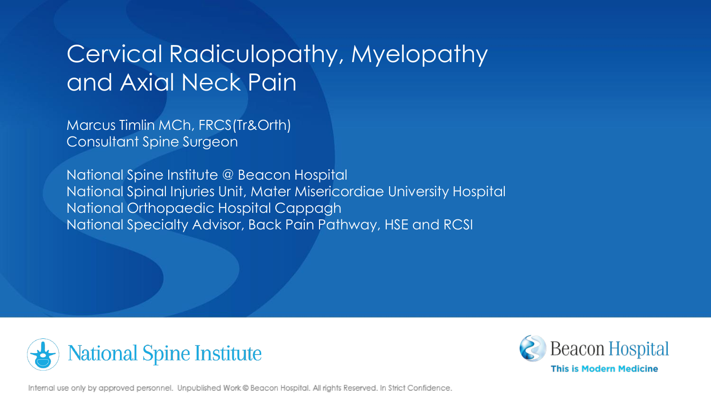# Cervical Radiculopathy, Myelopathy and Axial Neck Pain

Marcus Timlin MCh, FRCS(Tr&Orth) Consultant Spine Surgeon

National Spine Institute @ Beacon Hospital National Spinal Injuries Unit, Mater Misericordiae University Hospital National Orthopaedic Hospital Cappagh National Specialty Advisor, Back Pain Pathway, HSE and RCSI





Internal use only by approved personnel. Unpublished Work @ Beacon Hospital. All rights Reserved. In Strict Confidence.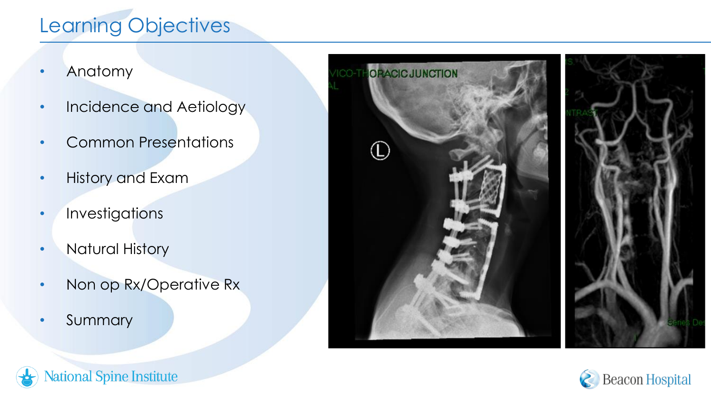### Learning Objectives

- Anatomy
- Incidence and Aetiology
- Common Presentations
- History and Exam
- Investigations
- Natural History

**National Spine Institute** 

- Non op Rx/Operative Rx
- Summary

7



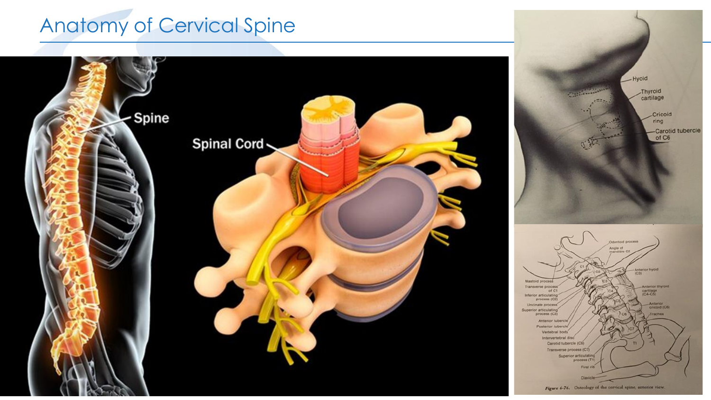# Anatomy of Cervical Spine

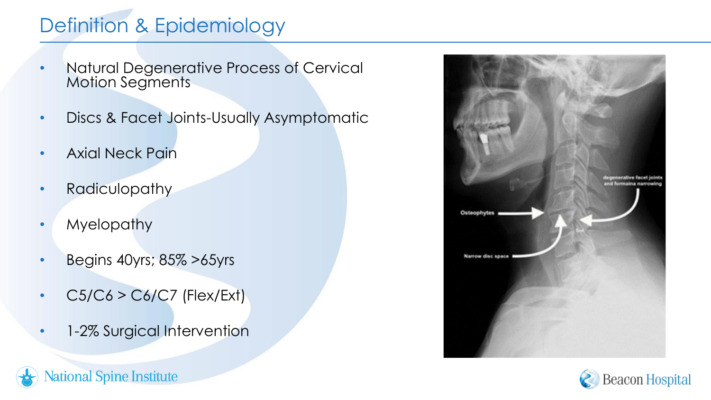### Definition & Epidemiology

- Natural Degenerative Process of Cervical Motion Segments
- Discs & Facet Joints-Usually Asymptomatic
- Axial Neck Pain
- Radiculopathy
- Myelopathy
- Begins 40yrs; 85% >65yrs
- $\cdot$  C5/C6 > C6/C7 (Flex/Ext)
- 1-2% Surgical Intervention





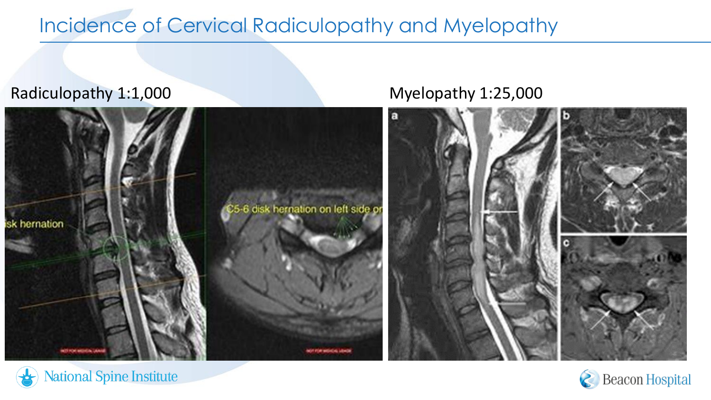### Incidence of Cervical Radiculopathy and Myelopathy

#### Radiculopathy 1:1,000 Myelopathy 1:25,000







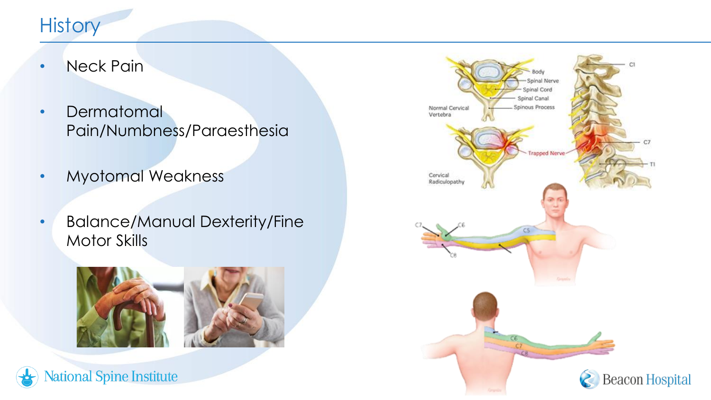### **History**

- Neck Pain
- Dermatomal Pain/Numbness/Paraesthesia
- Myotomal Weakness
- Balance/Manual Dexterity/Fine Motor Skills





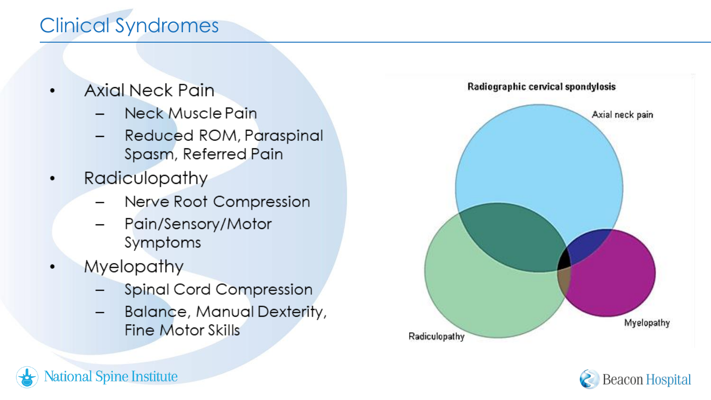## Clinical Syndromes

- Axial Neck Pain  $\bullet$ 
	- **Neck Muscle Pain**
	- Reduced ROM, Paraspinal Spasm, Referred Pain
- Radiculopathy
	- Nerve Root Compression
	- Pain/Sensory/Motor Symptoms
- **Myelopathy**  $\bullet$

tional Spine Institute

- **Spinal Cord Compression**
- **Balance, Manual Dexterity,** Fine Motor Skills



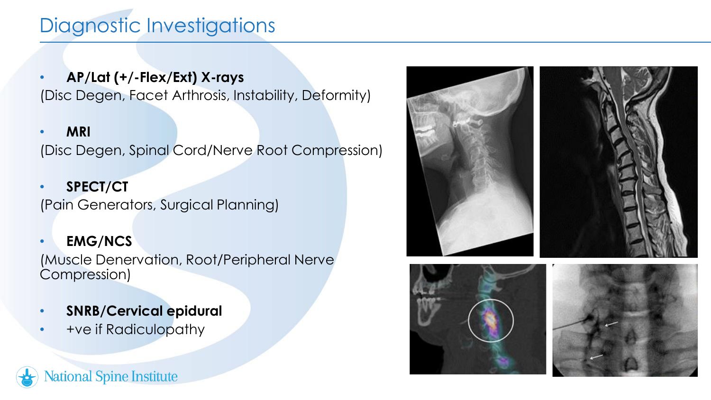### Diagnostic Investigations

• **AP/Lat (+/-Flex/Ext) X-rays** (Disc Degen, Facet Arthrosis, Instability, Deformity)

• **MRI** (Disc Degen, Spinal Cord/Nerve Root Compression)

• **SPECT/CT** (Pain Generators, Surgical Planning)

#### • **EMG/NCS**

(Muscle Denervation, Root/Peripheral Nerve Compression)

- **SNRB/Cervical epidural**
- **+ve if Radiculopathy**







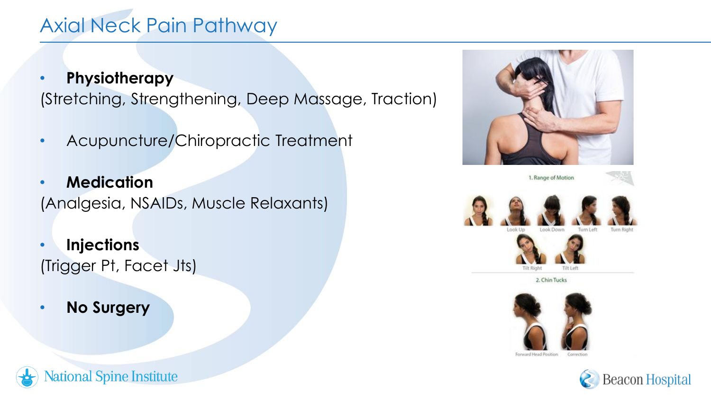### Axial Neck Pain Pathway

- **Physiotherapy** (Stretching, Strengthening, Deep Massage, Traction)
- Acupuncture/Chiropractic Treatment
- **Medication** (Analgesia, NSAIDs, Muscle Relaxants)
- **Injections** (Trigger Pt, Facet Jts)

ional Spine Institute

• **No Surgery**

















Forward Head Position Correctio



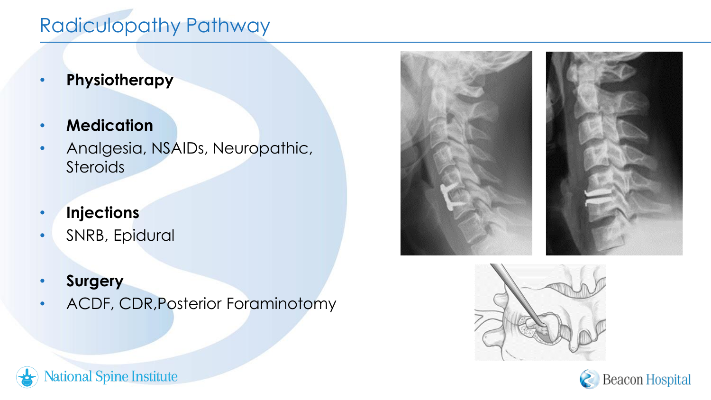### Radiculopathy Pathway

- **Physiotherapy**
- **Medication**
- Analgesia, NSAIDs, Neuropathic, **Steroids**
- **Injections**
- SNRB, Epidural

**Aational Spine Institute** 

• **Surgery**

ገ

• ACDF, CDR,Posterior Foraminotomy





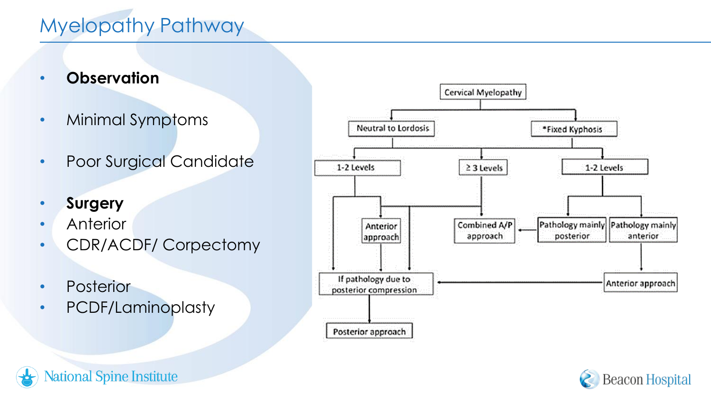### Myelopathy Pathway

- **Observation**
- Minimal Symptoms
- Poor Surgical Candidate
- **Surgery**
- Anterior
- CDR/ACDF/ Corpectomy
- Posterior
- PCDF/Laminoplasty





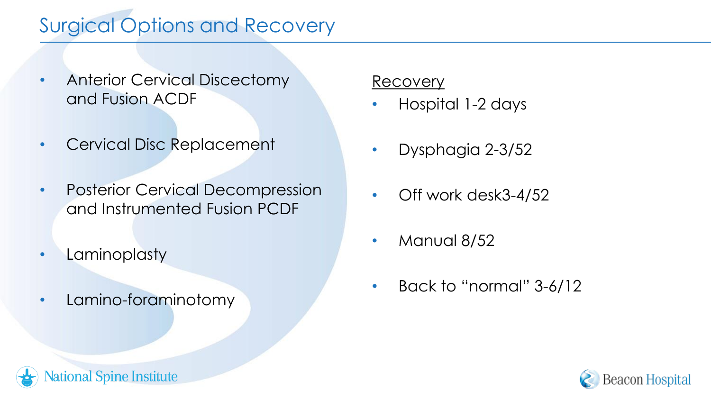### Surgical Options and Recovery

- Anterior Cervical Discectomy and Fusion ACDF
- Cervical Disc Replacement
- Posterior Cervical Decompression and Instrumented Fusion PCDF
- Laminoplasty

12

• Lamino-foraminotomy

ional Spine Institute

#### Recovery

- Hospital 1-2 days
- Dysphagia 2-3/52
- Off work desk3-4/52
- Manual 8/52
- Back to "normal" 3-6/12

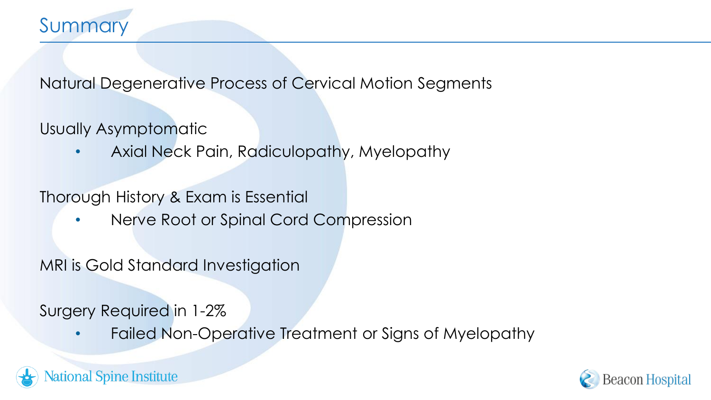Natural Degenerative Process of Cervical Motion Segments

Usually Asymptomatic

• Axial Neck Pain, Radiculopathy, Myelopathy

Thorough History & Exam is Essential

• Nerve Root or Spinal Cord Compression

MRI is Gold Standard Investigation

Surgery Required in 1-2%

• Failed Non-Operative Treatment or Signs of Myelopathy